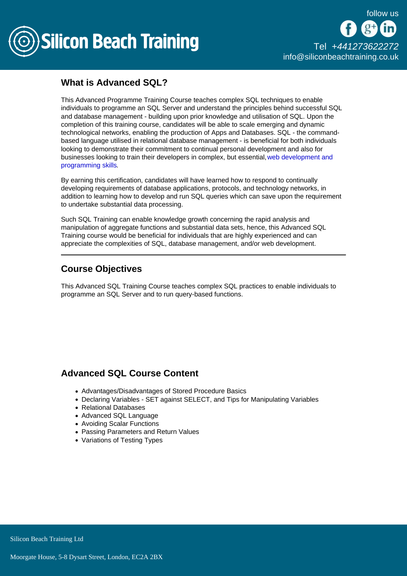

[Tel +44](tel:+441273622272)1273622272 [info@siliconbeachtraining.co.uk](/var/www/html/siliconbeachtraining.co.uk/public/mailTo:info@siliconbeachtraining.co.uk)

## What is Advanced SQL?

This Advanced Programme Training Course teaches complex SQL techniques to enable individuals to programme an SQL Server and understand the principles behind successful SQL and database management - building upon prior knowledge and utilisation of SQL. Upon the completion of this training course, candidates will be able to scale emerging and dynamic technological networks, enabling the production of Apps and Databases. SQL - the commandbased language utilised in relational database management - is beneficial for both individuals looking to demonstrate their commitment to continual personal development and also for businesses looking to train their developers in complex, but essential, [web development and](/programming-training)  [programming skills.](/programming-training)

By earning this certification, candidates will have learned how to respond to continually developing requirements of database applications, protocols, and technology networks, in addition to learning how to develop and run SQL queries which can save upon the requirement to undertake substantial data processing.

Such SQL Training can enable knowledge growth concerning the rapid analysis and manipulation of aggregate functions and substantial data sets, hence, this Advanced SQL Training course would be beneficial for individuals that are highly experienced and can appreciate the complexities of SQL, database management, and/or web development.

## Course Objectives

This Advanced SQL Training Course teaches complex SQL practices to enable individuals to programme an SQL Server and to run query-based functions.

## Advanced SQL Course Content

- Advantages/Disadvantages of Stored Procedure Basics
- Declaring Variables SET against SELECT, and Tips for Manipulating Variables
- Relational Databases
- Advanced SQL Language
- Avoiding Scalar Functions
- Passing Parameters and Return Values
- Variations of Testing Types